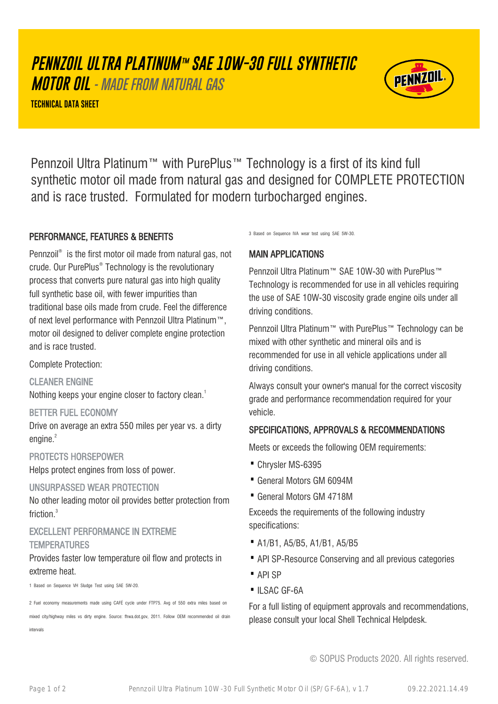# **PENNZOIL ULTRA PLATINUM™ SAE 10W-30 FULL SYNTHETIC**

**MOTOR OIL** - MADE FROM NATURAL GAS

**TECHNICAL DATA SHEET**



Pennzoil Ultra Platinum™ with PurePlus™ Technology is a first of its kind full synthetic motor oil made from natural gas and designed for COMPLETE PROTECTION and is race trusted. Formulated for modern turbocharged engines.

# PERFORMANCE, FEATURES & BENEFITS

Pennzoil® is the first motor oil made from natural gas, not crude. Our PurePlus® Technology is the revolutionary process that converts pure natural gas into high quality full synthetic base oil, with fewer impurities than traditional base oils made from crude. Feel the difference of next level performance with Pennzoil Ultra Platinum™, motor oil designed to deliver complete engine protection and is race trusted.

Complete Protection:

CLEANER ENGINE

Nothing keeps your engine closer to factory clean.<sup>1</sup>

#### BETTER FUEL ECONOMY

Drive on average an extra 550 miles per year vs. a dirty engine. $2$ 

#### PROTECTS HORSEPOWER

Helps protect engines from loss of power.

#### UNSURPASSED WEAR PROTECTION

No other leading motor oil provides better protection from friction.<sup>3</sup>

# EXCELLENT PERFORMANCE IN EXTREME **TEMPERATURES**

#### Provides faster low temperature oil flow and protects in extreme heat.

1 Based on Sequence VH Sludge Test using SAE 5W-20.

2 Fuel economy measurements made using CAFÉ cycle under FTP75. Avg of 550 extra miles based on

mixed city/highway miles vs dirty engine. Source: fhwa.dot.gov, 2011. Follow OEM recommended oil drain intervals

3 Based on Sequence IVA wear test using SAE 5W-30.

# MAIN APPLICATIONS

Pennzoil Ultra Platinum™ SAE 10W-30 with PurePlus™ Technology is recommended for use in all vehicles requiring the use of SAE 10W-30 viscosity grade engine oils under all driving conditions.

Pennzoil Ultra Platinum™ with PurePlus™ Technology can be mixed with other synthetic and mineral oils and is recommended for use in all vehicle applications under all driving conditions.

Always consult your owner's manual for the correct viscosity grade and performance recommendation required for your vehicle.

# SPECIFICATIONS, APPROVALS & RECOMMENDATIONS

Meets or exceeds the following OEM requirements:

- · Chrysler MS-6395
- · General Motors GM 6094M
- · General Motors GM 4718M

Exceeds the requirements of the following industry specifications:

- · A1/B1, A5/B5, A1/B1, A5/B5
- · API SP-Resource Conserving and all previous categories
- · API SP
- ·ILSAC GF-6A

For a full listing of equipment approvals and recommendations, please consult your local Shell Technical Helpdesk.

© SOPUS Products 2020. All rights reserved.